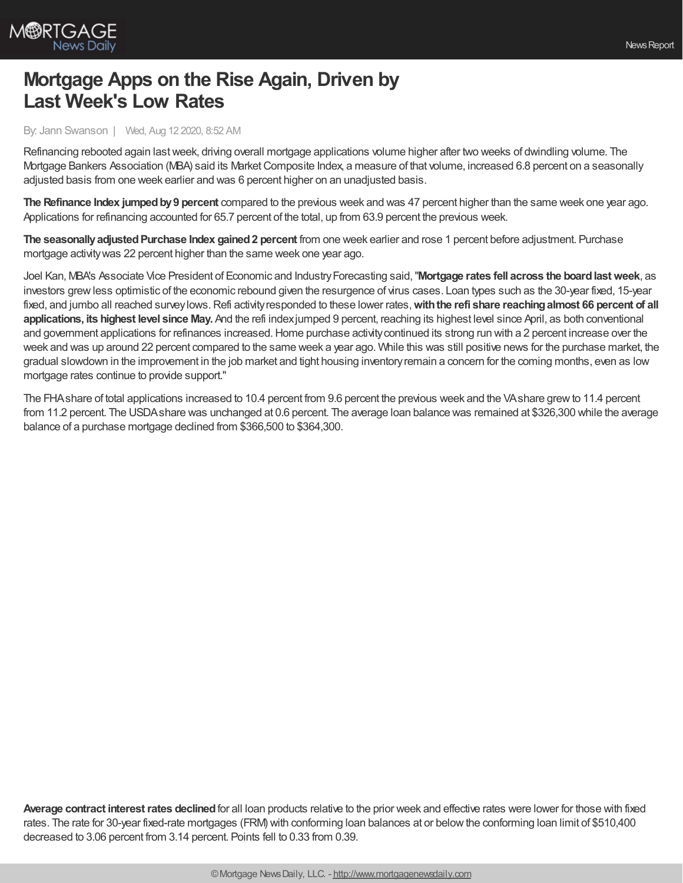

## **Mortgage Apps on the Rise Again, Driven by Last Week's Low Rates**

By: Jann Swanson | Wed, Aug 12 2020, 8:52 AM

Refinancing rebooted again lastweek, driving overall mortgage applications volume higher after two weeks of dwindling volume. The Mortgage Bankers Association (MBA) said its Market Composite Index, a measure of that volume, increased 6.8 percent on a seasonally adjusted basis from one week earlier and was 6 percent higher on an unadjusted basis.

The Refinance Index jumped by 9 percent compared to the previous week and was 47 percent higher than the same week one year ago. Applications for refinancing accounted for 65.7 percent of the total, up from 63.9 percent the previous week.

**The seasonallyadjustedPurchase Index gained2 percent** from one week earlier and rose 1 percent before adjustment. Purchase mortgage activitywas 22 percent higher than the same week one year ago.

Joel Kan, MBA's Associate Vice President of Economic and IndustryForecasting said,"**Mortgage rates fell across the boardlastweek**, as investors grewless optimistic of the economic rebound given the resurgence of virus cases. Loan types such as the 30-year fixed, 15-year fixed, and jumbo all reached surveylows.Refi activityresponded to these lower rates,**withthe refi share reachingalmost 66 percent of all applications, its highest level since May.** And the refi indexjumped 9 percent, reaching its highest level since April, as both conventional and government applications for refinances increased. Home purchase activity continued its strong run with a 2 percent increase over the week and was up around 22 percent compared to the same week a year ago. While this was still positive news for the purchase market, the gradual slowdown in the improvement in the job market and tight housing inventoryremain a concern for the coming months, even as low mortgage rates continue to provide support."

The FHAshare of total applications increased to 10.4 percent from 9.6 percent the previous week and the VAshare grewto 11.4 percent from 11.2 percent. The USDAshare was unchanged at 0.6 percent. The average loan balance was remained at \$326,300 while the average balance of a purchase mortgage declined from \$366,500 to \$364,300.

**Average contract interestrates declined**for all loan products relative to the prior week and effective rates were lower for those with fixed rates. The rate for 30-year fixed-rate mortgages (FRM) with conforming loan balances at or belowthe conforming loan limit of \$510,400 decreased to 3.06 percent from 3.14 percent. Points fell to 0.33 from 0.39.